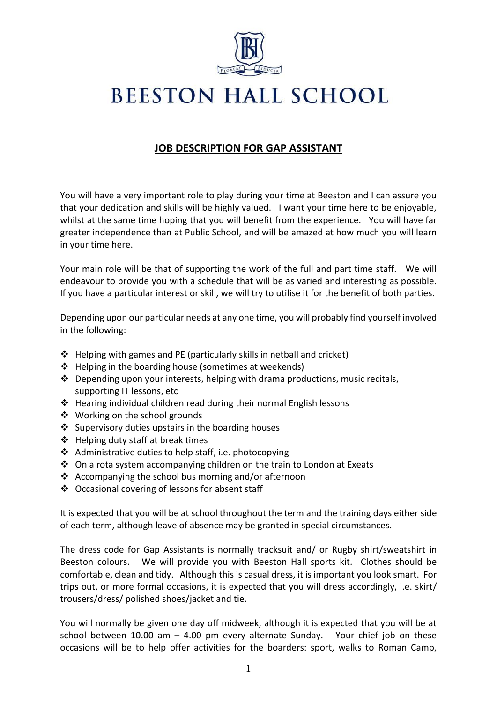

## **BEESTON HALL SCHOOL**

## **JOB DESCRIPTION FOR GAP ASSISTANT**

You will have a very important role to play during your time at Beeston and I can assure you that your dedication and skills will be highly valued. I want your time here to be enjoyable, whilst at the same time hoping that you will benefit from the experience. You will have far greater independence than at Public School, and will be amazed at how much you will learn in your time here.

Your main role will be that of supporting the work of the full and part time staff. We will endeavour to provide you with a schedule that will be as varied and interesting as possible. If you have a particular interest or skill, we will try to utilise it for the benefit of both parties.

Depending upon our particular needs at any one time, you will probably find yourself involved in the following:

- ❖ Helping with games and PE (particularly skills in netball and cricket)
- ❖ Helping in the boarding house (sometimes at weekends)
- ❖ Depending upon your interests, helping with drama productions, music recitals, supporting IT lessons, etc
- ❖ Hearing individual children read during their normal English lessons
- ❖ Working on the school grounds
- ❖ Supervisory duties upstairs in the boarding houses
- ❖ Helping duty staff at break times
- ❖ Administrative duties to help staff, i.e. photocopying
- ❖ On a rota system accompanying children on the train to London at Exeats
- ❖ Accompanying the school bus morning and/or afternoon
- ❖ Occasional covering of lessons for absent staff

It is expected that you will be at school throughout the term and the training days either side of each term, although leave of absence may be granted in special circumstances.

The dress code for Gap Assistants is normally tracksuit and/ or Rugby shirt/sweatshirt in Beeston colours. We will provide you with Beeston Hall sports kit. Clothes should be comfortable, clean and tidy. Although this is casual dress, it is important you look smart. For trips out, or more formal occasions, it is expected that you will dress accordingly, i.e. skirt/ trousers/dress/ polished shoes/jacket and tie.

You will normally be given one day off midweek, although it is expected that you will be at school between  $10.00$  am  $-$  4.00 pm every alternate Sunday. Your chief job on these occasions will be to help offer activities for the boarders: sport, walks to Roman Camp,